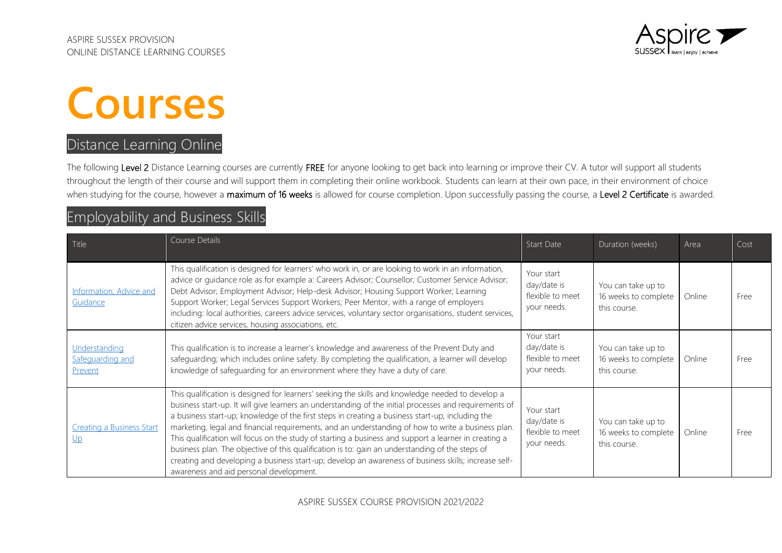

# **Courses**

### Distance Learning Online

The following Level 2 Distance Learning courses are currently FREE for anyone looking to get back into learning or improve their CV. A tutor will support all students throughout the length of their course and will support them in completing their online workbook. Students can learn at their own pace, in their environment of choice when studying for the course, however a maximum of 16 weeks is allowed for course completion. Upon successfully passing the course, a Level 2 Certificate is awarded.

### Employability and Business Skills

| Title                                                 | Course Details                                                                                                                                                                                                                                                                                                                                                                                                                                                                                                                                                                                                                                                                                                                                                                       | Start Date                                                   | Duration (weeks)                                           | Area   | Cost |
|-------------------------------------------------------|--------------------------------------------------------------------------------------------------------------------------------------------------------------------------------------------------------------------------------------------------------------------------------------------------------------------------------------------------------------------------------------------------------------------------------------------------------------------------------------------------------------------------------------------------------------------------------------------------------------------------------------------------------------------------------------------------------------------------------------------------------------------------------------|--------------------------------------------------------------|------------------------------------------------------------|--------|------|
| <b>Information</b> , Advice and<br>Guidance           | This qualification is designed for learners' who work in, or are looking to work in an information,<br>advice or quidance role as for example a: Careers Advisor; Counsellor; Customer Service Advisor;<br>Debt Advisor; Employment Advisor; Help-desk Advisor; Housing Support Worker; Learning<br>Support Worker; Legal Services Support Workers; Peer Mentor, with a range of employers<br>including: local authorities, careers advice services, voluntary sector organisations, student services,<br>citizen advice services, housing associations, etc.                                                                                                                                                                                                                        | Your start<br>day/date is<br>flexible to meet<br>your needs. | You can take up to<br>16 weeks to complete<br>this course. | Online | Free |
| Understanding<br>Safequarding and<br>Prevent          | This qualification is to increase a learner's knowledge and awareness of the Prevent Duty and<br>safeguarding; which includes online safety. By completing the qualification, a learner will develop<br>knowledge of safeguarding for an environment where they have a duty of care.                                                                                                                                                                                                                                                                                                                                                                                                                                                                                                 | Your start<br>day/date is<br>flexible to meet<br>your needs. | You can take up to<br>16 weeks to complete<br>this course. | Online | Free |
| <b>Creating a Business Start</b><br>$U_{\mathcal{D}}$ | This qualification is designed for learners' seeking the skills and knowledge needed to develop a<br>business start-up. It will give learners an understanding of the initial processes and requirements of<br>a business start-up; knowledge of the first steps in creating a business start-up, including the<br>marketing, legal and financial requirements, and an understanding of how to write a business plan.<br>This qualification will focus on the study of starting a business and support a learner in creating a<br>business plan. The objective of this qualification is to: gain an understanding of the steps of<br>creating and developing a business start-up; develop an awareness of business skills; increase self-<br>awareness and aid personal development. | Your start<br>day/date is<br>flexible to meet<br>your needs. | You can take up to<br>16 weeks to complete<br>this course. | Online | Free |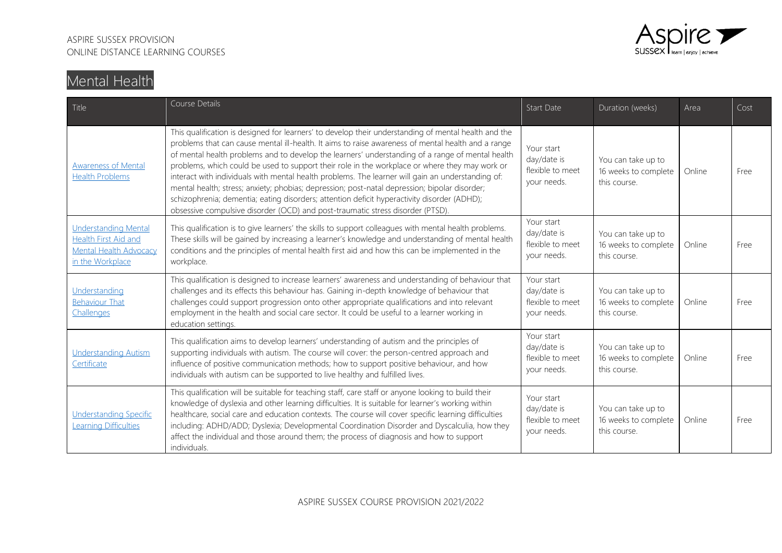

# Mental Health

| Title                                                                                                    | Course Details                                                                                                                                                                                                                                                                                                                                                                                                                                                                                                                                                                                                                                                                                                                                                                                          | Start Date                                                   | Duration (weeks)                                           | Area   | Cost |
|----------------------------------------------------------------------------------------------------------|---------------------------------------------------------------------------------------------------------------------------------------------------------------------------------------------------------------------------------------------------------------------------------------------------------------------------------------------------------------------------------------------------------------------------------------------------------------------------------------------------------------------------------------------------------------------------------------------------------------------------------------------------------------------------------------------------------------------------------------------------------------------------------------------------------|--------------------------------------------------------------|------------------------------------------------------------|--------|------|
| <b>Awareness of Mental</b><br><b>Health Problems</b>                                                     | This qualification is designed for learners' to develop their understanding of mental health and the<br>problems that can cause mental ill-health. It aims to raise awareness of mental health and a range<br>of mental health problems and to develop the learners' understanding of a range of mental health<br>problems, which could be used to support their role in the workplace or where they may work or<br>interact with individuals with mental health problems. The learner will gain an understanding of:<br>mental health; stress; anxiety; phobias; depression; post-natal depression; bipolar disorder;<br>schizophrenia; dementia; eating disorders; attention deficit hyperactivity disorder (ADHD);<br>obsessive compulsive disorder (OCD) and post-traumatic stress disorder (PTSD). | Your start<br>day/date is<br>flexible to meet<br>your needs. | You can take up to<br>16 weeks to complete<br>this course. | Online | Free |
| <b>Understanding Mental</b><br>Health First Aid and<br><b>Mental Health Advocacy</b><br>in the Workplace | This qualification is to give learners' the skills to support colleagues with mental health problems.<br>These skills will be gained by increasing a learner's knowledge and understanding of mental health<br>conditions and the principles of mental health first aid and how this can be implemented in the<br>workplace.                                                                                                                                                                                                                                                                                                                                                                                                                                                                            | Your start<br>day/date is<br>flexible to meet<br>your needs. | You can take up to<br>16 weeks to complete<br>this course. | Online | Free |
| Understanding<br><b>Behaviour That</b><br>Challenges                                                     | This qualification is designed to increase learners' awareness and understanding of behaviour that<br>challenges and its effects this behaviour has. Gaining in-depth knowledge of behaviour that<br>challenges could support progression onto other appropriate qualifications and into relevant<br>employment in the health and social care sector. It could be useful to a learner working in<br>education settings.                                                                                                                                                                                                                                                                                                                                                                                 | Your start<br>day/date is<br>flexible to meet<br>vour needs. | You can take up to<br>16 weeks to complete<br>this course. | Online | Free |
| <b>Understanding Autism</b><br>Certificate                                                               | This qualification aims to develop learners' understanding of autism and the principles of<br>supporting individuals with autism. The course will cover: the person-centred approach and<br>influence of positive communication methods; how to support positive behaviour, and how<br>individuals with autism can be supported to live healthy and fulfilled lives.                                                                                                                                                                                                                                                                                                                                                                                                                                    | Your start<br>day/date is<br>flexible to meet<br>your needs. | You can take up to<br>16 weeks to complete<br>this course. | Online | Free |
| <b>Understanding Specific</b><br>Learning Difficulties                                                   | This qualification will be suitable for teaching staff, care staff or anyone looking to build their<br>knowledge of dyslexia and other learning difficulties. It is suitable for learner's working within<br>healthcare, social care and education contexts. The course will cover specific learning difficulties<br>including: ADHD/ADD; Dyslexia; Developmental Coordination Disorder and Dyscalculia, how they<br>affect the individual and those around them; the process of diagnosis and how to support<br>individuals.                                                                                                                                                                                                                                                                           | Your start<br>day/date is<br>flexible to meet<br>your needs. | You can take up to<br>16 weeks to complete<br>this course. | Online | Free |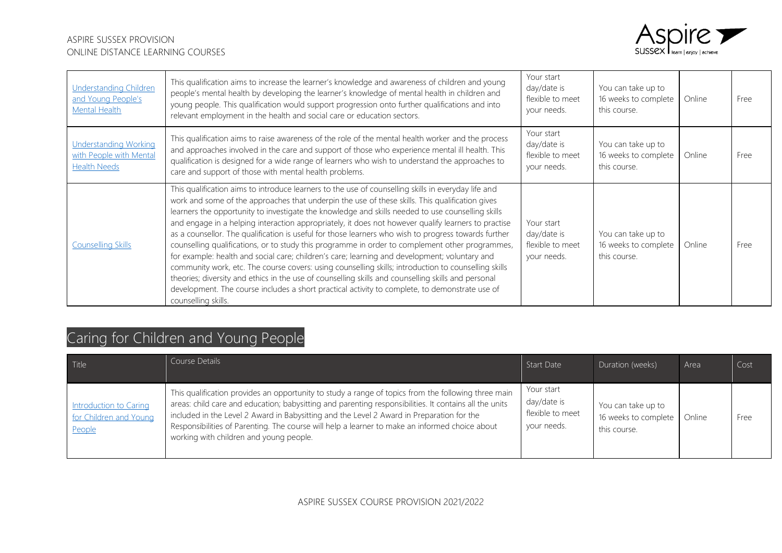

| <b>Understanding Children</b><br>and Young People's<br><b>Mental Health</b>    | This qualification aims to increase the learner's knowledge and awareness of children and young<br>people's mental health by developing the learner's knowledge of mental health in children and<br>young people. This qualification would support progression onto further qualifications and into<br>relevant employment in the health and social care or education sectors.                                                                                                                                                                                                                                                                                                                                                                                                                                                                                                                                                                                                                                                                                         | Your start<br>day/date is<br>flexible to meet<br>your needs. | You can take up to<br>16 weeks to complete<br>this course. | Online | Free  |
|--------------------------------------------------------------------------------|------------------------------------------------------------------------------------------------------------------------------------------------------------------------------------------------------------------------------------------------------------------------------------------------------------------------------------------------------------------------------------------------------------------------------------------------------------------------------------------------------------------------------------------------------------------------------------------------------------------------------------------------------------------------------------------------------------------------------------------------------------------------------------------------------------------------------------------------------------------------------------------------------------------------------------------------------------------------------------------------------------------------------------------------------------------------|--------------------------------------------------------------|------------------------------------------------------------|--------|-------|
| <b>Understanding Working</b><br>with People with Mental<br><b>Health Needs</b> | This qualification aims to raise awareness of the role of the mental health worker and the process<br>and approaches involved in the care and support of those who experience mental ill health. This<br>qualification is designed for a wide range of learners who wish to understand the approaches to<br>care and support of those with mental health problems.                                                                                                                                                                                                                                                                                                                                                                                                                                                                                                                                                                                                                                                                                                     | Your start<br>day/date is<br>flexible to meet<br>your needs. | You can take up to<br>16 weeks to complete<br>this course. | Online | Free  |
| <b>Counselling Skills</b>                                                      | This qualification aims to introduce learners to the use of counselling skills in everyday life and<br>work and some of the approaches that underpin the use of these skills. This qualification gives<br>learners the opportunity to investigate the knowledge and skills needed to use counselling skills<br>and engage in a helping interaction appropriately, it does not however qualify learners to practise<br>as a counsellor. The qualification is useful for those learners who wish to progress towards further<br>counselling qualifications, or to study this programme in order to complement other programmes,<br>for example: health and social care; children's care; learning and development; voluntary and<br>community work, etc. The course covers: using counselling skills; introduction to counselling skills<br>theories; diversity and ethics in the use of counselling skills and counselling skills and personal<br>development. The course includes a short practical activity to complete, to demonstrate use of<br>counselling skills. | Your start<br>day/date is<br>flexible to meet<br>your needs. | You can take up to<br>16 weeks to complete<br>this course. | Online | Free: |

# Caring for Children and Young People

| Title                                                             | Course Details                                                                                                                                                                                                                                                                                                                                                                                                                                          | Start Date                                                   | Duration (weeks)                                           | Area   | Cost |
|-------------------------------------------------------------------|---------------------------------------------------------------------------------------------------------------------------------------------------------------------------------------------------------------------------------------------------------------------------------------------------------------------------------------------------------------------------------------------------------------------------------------------------------|--------------------------------------------------------------|------------------------------------------------------------|--------|------|
| <b>Introduction to Caring</b><br>for Children and Young<br>People | This qualification provides an opportunity to study a range of topics from the following three main<br>areas: child care and education; babysitting and parenting responsibilities. It contains all the units<br>included in the Level 2 Award in Babysitting and the Level 2 Award in Preparation for the<br>Responsibilities of Parenting. The course will help a learner to make an informed choice about<br>working with children and young people. | Your start<br>day/date is<br>flexible to meet<br>your needs. | You can take up to<br>16 weeks to complete<br>this course. | Online | Free |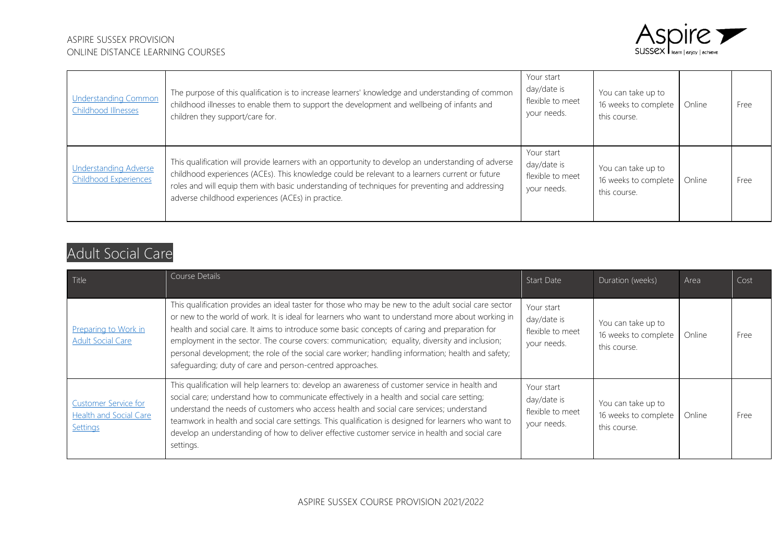

| <b>Understanding Common</b><br>Childhood Illnesses    | The purpose of this qualification is to increase learners' knowledge and understanding of common<br>childhood illnesses to enable them to support the development and wellbeing of infants and<br>children they support/care for.                                                                                                                            | Your start<br>day/date is<br>flexible to meet<br>your needs. | You can take up to<br>16 weeks to complete<br>this course. | Online | Free |
|-------------------------------------------------------|--------------------------------------------------------------------------------------------------------------------------------------------------------------------------------------------------------------------------------------------------------------------------------------------------------------------------------------------------------------|--------------------------------------------------------------|------------------------------------------------------------|--------|------|
| <b>Understanding Adverse</b><br>Childhood Experiences | This qualification will provide learners with an opportunity to develop an understanding of adverse<br>childhood experiences (ACEs). This knowledge could be relevant to a learners current or future<br>roles and will equip them with basic understanding of techniques for preventing and addressing<br>adverse childhood experiences (ACEs) in practice. | Your start<br>day/date is<br>flexible to meet<br>your needs. | You can take up to<br>16 weeks to complete<br>this course. | Online | Free |

### Adult Social Care

| Title                                                                    | Course Details                                                                                                                                                                                                                                                                                                                                                                                                                                                                                                                                                                    | Start Date                                                   | Duration (weeks)                                           | Area   | Cost |
|--------------------------------------------------------------------------|-----------------------------------------------------------------------------------------------------------------------------------------------------------------------------------------------------------------------------------------------------------------------------------------------------------------------------------------------------------------------------------------------------------------------------------------------------------------------------------------------------------------------------------------------------------------------------------|--------------------------------------------------------------|------------------------------------------------------------|--------|------|
| Preparing to Work in<br><b>Adult Social Care</b>                         | This qualification provides an ideal taster for those who may be new to the adult social care sector<br>or new to the world of work. It is ideal for learners who want to understand more about working in<br>health and social care. It aims to introduce some basic concepts of caring and preparation for<br>employment in the sector. The course covers: communication; equality, diversity and inclusion;<br>personal development; the role of the social care worker; handling information; health and safety;<br>safequarding; duty of care and person-centred approaches. | Your start<br>day/date is<br>flexible to meet<br>your needs. | You can take up to<br>16 weeks to complete<br>this course. | Online | Free |
| <b>Customer Service for</b><br><b>Health and Social Care</b><br>Settings | This qualification will help learners to: develop an awareness of customer service in health and<br>social care; understand how to communicate effectively in a health and social care setting;<br>understand the needs of customers who access health and social care services; understand<br>teamwork in health and social care settings. This qualification is designed for learners who want to<br>develop an understanding of how to deliver effective customer service in health and social care<br>settings.                                                               | Your start<br>day/date is<br>flexible to meet<br>your needs. | You can take up to<br>16 weeks to complete<br>this course. | Online | Free |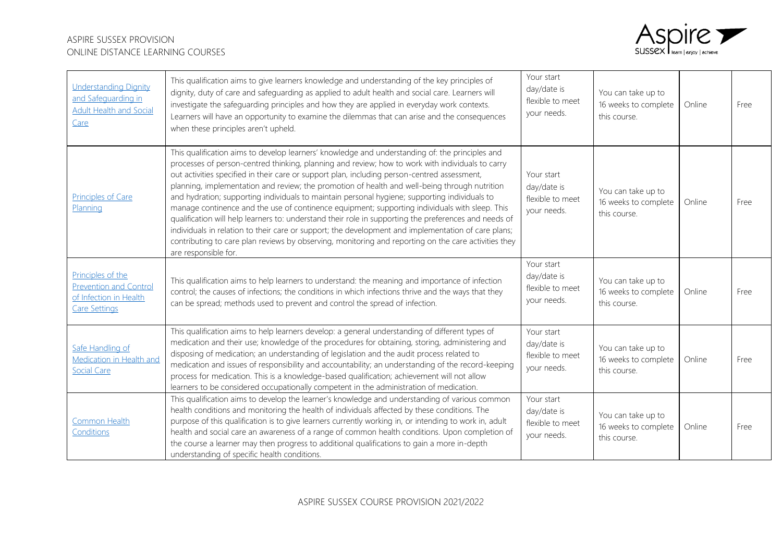

| Understanding Dignity<br>and Safequarding in<br><b>Adult Health and Social</b><br>Care               | This qualification aims to give learners knowledge and understanding of the key principles of<br>dignity, duty of care and safeguarding as applied to adult health and social care. Learners will<br>investigate the safeguarding principles and how they are applied in everyday work contexts.<br>Learners will have an opportunity to examine the dilemmas that can arise and the consequences<br>when these principles aren't upheld.                                                                                                                                                                                                                                                                                                                                                                                                                                                                                                               | Your start<br>day/date is<br>flexible to meet<br>your needs. | You can take up to<br>16 weeks to complete<br>this course. | Online | Free |
|------------------------------------------------------------------------------------------------------|---------------------------------------------------------------------------------------------------------------------------------------------------------------------------------------------------------------------------------------------------------------------------------------------------------------------------------------------------------------------------------------------------------------------------------------------------------------------------------------------------------------------------------------------------------------------------------------------------------------------------------------------------------------------------------------------------------------------------------------------------------------------------------------------------------------------------------------------------------------------------------------------------------------------------------------------------------|--------------------------------------------------------------|------------------------------------------------------------|--------|------|
| <b>Principles of Care</b><br>Planning                                                                | This qualification aims to develop learners' knowledge and understanding of: the principles and<br>processes of person-centred thinking, planning and review; how to work with individuals to carry<br>out activities specified in their care or support plan, including person-centred assessment,<br>planning, implementation and review; the promotion of health and well-being through nutrition<br>and hydration; supporting individuals to maintain personal hygiene; supporting individuals to<br>manage continence and the use of continence equipment; supporting individuals with sleep. This<br>qualification will help learners to: understand their role in supporting the preferences and needs of<br>individuals in relation to their care or support; the development and implementation of care plans;<br>contributing to care plan reviews by observing, monitoring and reporting on the care activities they<br>are responsible for. | Your start<br>day/date is<br>flexible to meet<br>your needs. | You can take up to<br>16 weeks to complete<br>this course. | Online | Free |
| Principles of the<br><b>Prevention and Control</b><br>of Infection in Health<br><b>Care Settings</b> | This qualification aims to help learners to understand: the meaning and importance of infection<br>control; the causes of infections; the conditions in which infections thrive and the ways that they<br>can be spread; methods used to prevent and control the spread of infection.                                                                                                                                                                                                                                                                                                                                                                                                                                                                                                                                                                                                                                                                   | Your start<br>day/date is<br>flexible to meet<br>your needs. | You can take up to<br>16 weeks to complete<br>this course. | Online | Free |
| Safe Handling of<br>Medication in Health and<br><b>Social Care</b>                                   | This qualification aims to help learners develop: a general understanding of different types of<br>medication and their use; knowledge of the procedures for obtaining, storing, administering and<br>disposing of medication; an understanding of legislation and the audit process related to<br>medication and issues of responsibility and accountability; an understanding of the record-keeping<br>process for medication. This is a knowledge-based qualification; achievement will not allow<br>learners to be considered occupationally competent in the administration of medication.                                                                                                                                                                                                                                                                                                                                                         | Your start<br>day/date is<br>flexible to meet<br>your needs. | You can take up to<br>16 weeks to complete<br>this course. | Online | Free |
| Common Health<br>Conditions                                                                          | This qualification aims to develop the learner's knowledge and understanding of various common<br>health conditions and monitoring the health of individuals affected by these conditions. The<br>purpose of this qualification is to give learners currently working in, or intending to work in, adult<br>health and social care an awareness of a range of common health conditions. Upon completion of<br>the course a learner may then progress to additional qualifications to gain a more in-depth<br>understanding of specific health conditions.                                                                                                                                                                                                                                                                                                                                                                                               | Your start<br>day/date is<br>flexible to meet<br>your needs. | You can take up to<br>16 weeks to complete<br>this course. | Online | Free |